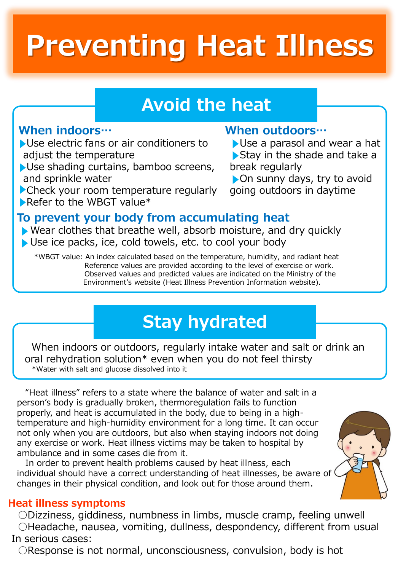# **Preventing Heat Illness**

# **Avoid the heat**

# **When indoors…**

Use electric fans or air conditioners to adjust the temperature

- Use shading curtains, bamboo screens, and sprinkle water
- Check your room temperature regularly Refer to the WBGT value\*

# **When outdoors…**

Use a parasol and wear a hat Stay in the shade and take a break regularly

On sunny days, try to avoid going outdoors in daytime

# **To prevent your body from accumulating heat**

- Wear clothes that breathe well, absorb moisture, and dry quickly
- Use ice packs, ice, cold towels, etc. to cool your body

\*WBGT value: An index calculated based on the temperature, humidity, and radiant heat Reference values are provided according to the level of exercise or work. Observed values and predicted values are indicated on the Ministry of the Environment's website (Heat Illness Prevention Information website).

# **Stay hydrated**

When indoors or outdoors, regularly intake water and salt or drink an oral rehydration solution\* even when you do not feel thirsty \*Water with salt and glucose dissolved into it

"Heat illness" refers to a state where the balance of water and salt in a person's body is gradually broken, thermoregulation fails to function properly, and heat is accumulated in the body, due to being in a hightemperature and high-humidity environment for a long time. It can occur not only when you are outdoors, but also when staying indoors not doing any exercise or work. Heat illness victims may be taken to hospital by ambulance and in some cases die from it.

In order to prevent health problems caused by heat illness, each individual should have a correct understanding of heat illnesses, be aware of ( changes in their physical condition, and look out for those around them.

#### **Heat illness symptoms**

**○**Dizziness, giddiness, numbness in limbs, muscle cramp, feeling unwell **○**Headache, nausea, vomiting, dullness, despondency, different from usual In serious cases:

**○**Response is not normal, unconsciousness, convulsion, body is hot

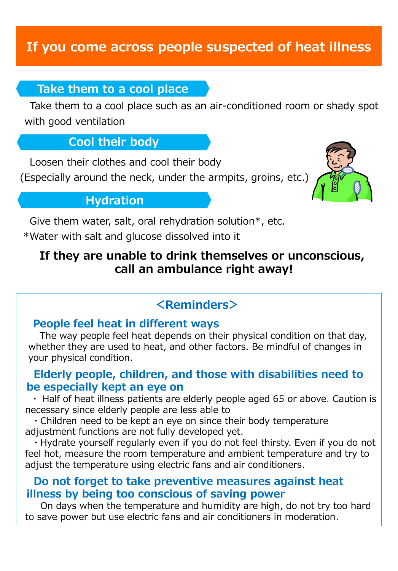# **If you come across people suspected of heat illness**

#### **Take them to a cool place**

Take them to a cool place such as an air-conditioned room or shady spot with good ventilation

## **Cool their body**

Loosen their clothes and cool their body

(Especially around the neck, under the armpits, groins, etc.)



# **Hydration**

Give them water, salt, oral rehydration solution\*, etc.

\*Water with salt and glucose dissolved into it

# **If they are unable to drink themselves or unconscious, call an ambulance right away!**

# **<Reminders>**

#### **People feel heat in different ways**

The way people feel heat depends on their physical condition on that day, whether they are used to heat, and other factors. Be mindful of changes in your physical condition.

#### **Elderly people, children, and those with disabilities need to be especially kept an eye on**

・ Half of heat illness patients are elderly people aged 65 or above. Caution is necessary since elderly people are less able to

・Children need to be kept an eye on since their body temperature adjustment functions are not fully developed yet.

・Hydrate yourself regularly even if you do not feel thirsty. Even if you do not feel hot, measure the room temperature and ambient temperature and try to adjust the temperature using electric fans and air conditioners.

#### **Do not forget to take preventive measures against heat illness by being too conscious of saving power**

On days when the temperature and humidity are high, do not try too hard to save power but use electric fans and air conditioners in moderation.